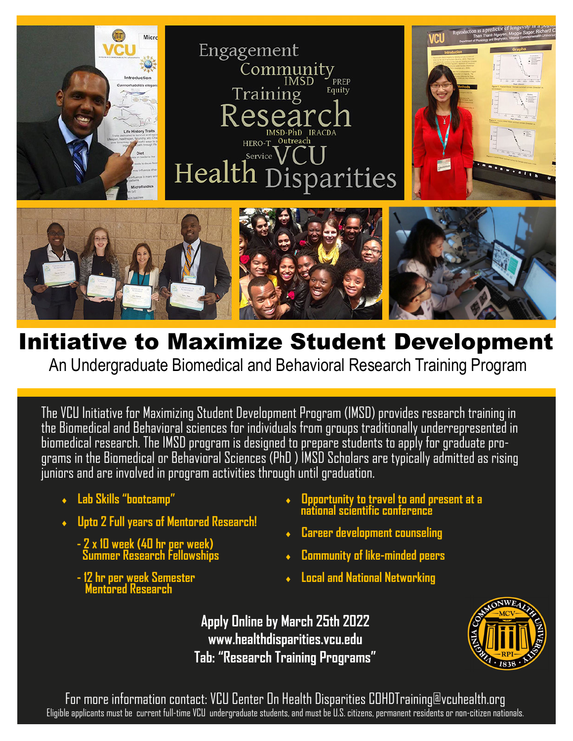

## Initiative to Maximize Student Development

An Undergraduate Biomedical and Behavioral Research Training Program

The VCU Initiative for Maximizing Student Development Program (IMSD) provides research training in the Biomedical and Behavioral sciences for individuals from groups traditionally underrepresented in biomedical research. The IMSD program is designed to prepare students to apply for graduate programs in the Biomedical or Behavioral Sciences (PhD ) IMSD Scholars are typically admitted as rising juniors and are involved in program activities through until graduation.

- **Lab Skills "bootcamp"**
- **Upto 2 Full years of Mentored Research!**
- **2 x 10 week (40 hr per week) Summer Research Fellowships**
- **12 hr per week Semester Mentored Research**
- **Opportunity to travel to and present at a national scientific conference**
- **Career development counseling**
- **Community of like-minded peers**
- **Local and National Networking**

**Apply Online by March 25th 2022 www.healthdisparities.vcu.edu Tab: "Research Training Programs"** 



 For more information contact: VCU Center On Health Disparities COHDTraining@vcuhealth.org Eligible applicants must be current full-time VCU undergraduate students, and must be U.S. citizens, permanent residents or non-citizen nationals.